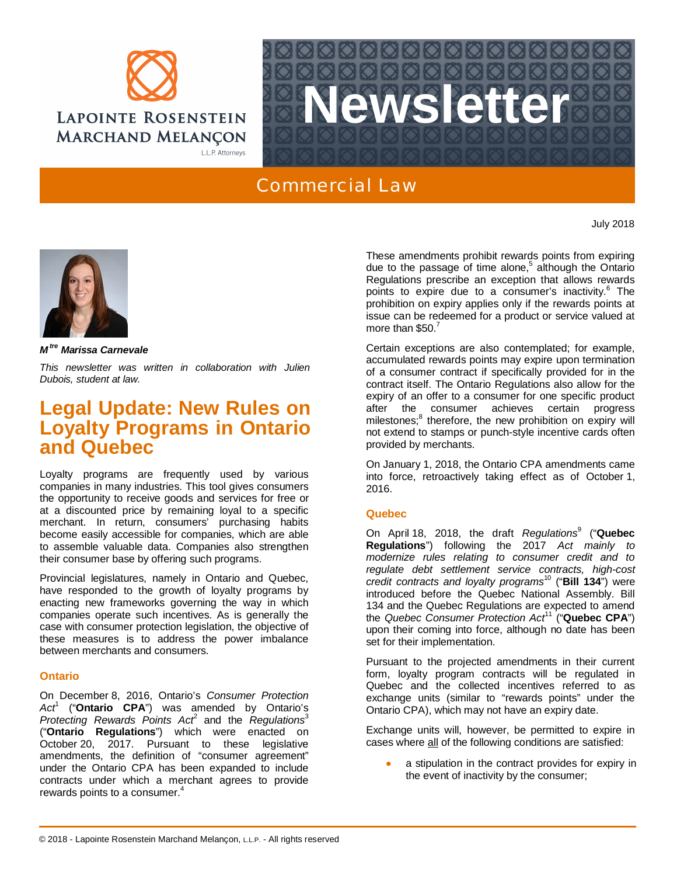



## Commercial Law

July 2018



*M tre Marissa Carnevale*

*This newsletter was written in collaboration with Julien Dubois, student at law.*

# **Legal Update: New Rules on Loyalty Programs in Ontario and Quebec**

Loyalty programs are frequently used by various companies in many industries. This tool gives consumers the opportunity to receive goods and services for free or at a discounted price by remaining loyal to a specific merchant. In return, consumers' purchasing habits become easily accessible for companies, which are able to assemble valuable data. Companies also strengthen their consumer base by offering such programs.

Provincial legislatures, namely in Ontario and Quebec, have responded to the growth of loyalty programs by enacting new frameworks governing the way in which companies operate such incentives. As is generally the case with consumer protection legislation, the objective of these measures is to address the power imbalance between merchants and consumers.

### **Ontario**

On December 8, 2016, Ontario's *Consumer Protection Act*<sup>1</sup> ("**Ontario CPA**") was amended by Ontario's Protecting Rewards Points Act<sup>2</sup> and the Regulations<sup>3</sup> ("**Ontario Regulations**") which were enacted on October 20, 2017. Pursuant to these legislative amendments, the definition of "consumer agreement" under the Ontario CPA has been expanded to include contracts under which a merchant agrees to provide rewards points to a consumer.<sup>4</sup>

These amendments prohibit rewards points from expiring due to the passage of time alone,<sup>5</sup> although the Ontario Regulations prescribe an exception that allows rewards points to expire due to a consumer's inactivity.<sup>6</sup> The prohibition on expiry applies only if the rewards points at issue can be redeemed for a product or service valued at more than \$50.7

Certain exceptions are also contemplated; for example, accumulated rewards points may expire upon termination of a consumer contract if specifically provided for in the contract itself. The Ontario Regulations also allow for the expiry of an offer to a consumer for one specific product after the consumer achieves certain progress milestones;<sup>8</sup> therefore, the new prohibition on expiry will not extend to stamps or punch-style incentive cards often provided by merchants.

On January 1, 2018, the Ontario CPA amendments came into force, retroactively taking effect as of October 1, 2016.

### **Quebec**

On April 18, 2018, the draft *Regulations*<sup>9</sup> ("**Quebec Regulations**") following the 2017 *Act mainly to modernize rules relating to consumer credit and to regulate debt settlement service contracts, high-cost credit contracts and loyalty programs*<sup>10</sup> ("**Bill 134**") were introduced before the Quebec National Assembly. Bill 134 and the Quebec Regulations are expected to amend the *Quebec Consumer Protection Act*<sup>11</sup> ("**Quebec CPA**") upon their coming into force, although no date has been set for their implementation.

Pursuant to the projected amendments in their current form, loyalty program contracts will be regulated in Quebec and the collected incentives referred to as exchange units (similar to "rewards points" under the Ontario CPA), which may not have an expiry date.

Exchange units will, however, be permitted to expire in cases where all of the following conditions are satisfied:

a stipulation in the contract provides for expiry in the event of inactivity by the consumer;